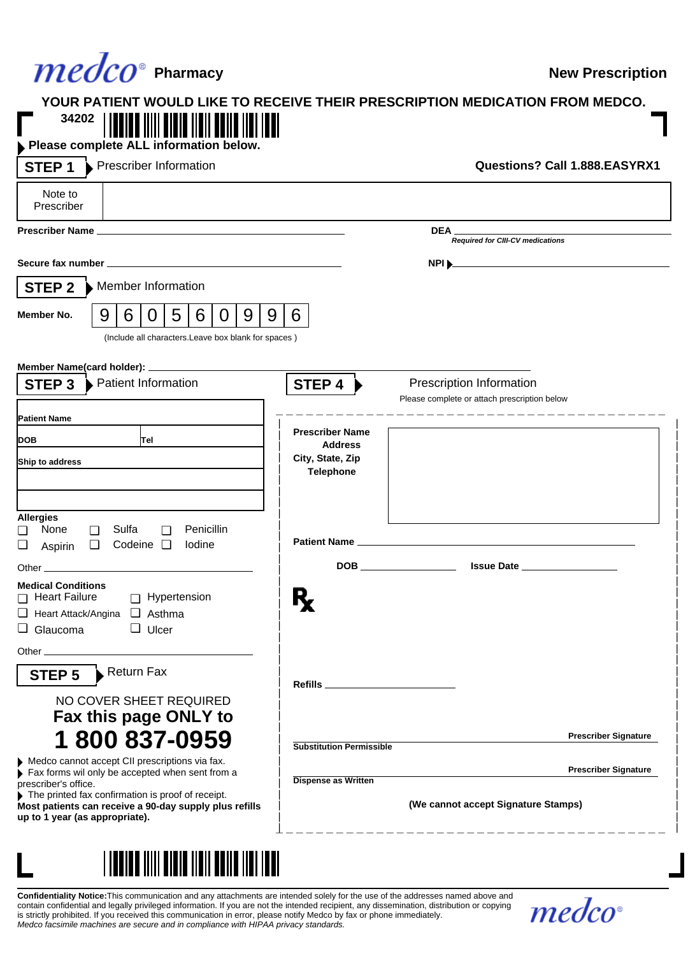## **Pharmacy Pharmacy Reserve Exercise Reserve The Serve Algebra Reserved Reserved Reserved Reserved Reserved Reserved Reserved Reserved Reserved Reserved Reserved Reserved Reserved Reserved Reserved Reserved Reserved Res**

## **YOUR PATIENT WOULD LIKE TO RECEIVE THEIR PRESCRIPTION MEDICATION FROM MEDCO. 34202** Г

| Prescriber Information<br>STEP <sub>1</sub>                                                                                                                                                                                                                                       |                                                        |                                                                                                                       | Questions? Call 1.888.EASYRX1 |
|-----------------------------------------------------------------------------------------------------------------------------------------------------------------------------------------------------------------------------------------------------------------------------------|--------------------------------------------------------|-----------------------------------------------------------------------------------------------------------------------|-------------------------------|
| Note to<br>Prescriber                                                                                                                                                                                                                                                             |                                                        |                                                                                                                       |                               |
|                                                                                                                                                                                                                                                                                   |                                                        | DEA_<br><b>Required for CIII-CV medications</b>                                                                       |                               |
|                                                                                                                                                                                                                                                                                   |                                                        | <b>NPI Decreed to the CONFIDENTIAL CONTRACT OF A SET OF A SET OF A SET OF A SET OF A SET OF A SET OF A SET OF A S</b> |                               |
| Member Information<br>STEP 2                                                                                                                                                                                                                                                      |                                                        |                                                                                                                       |                               |
| 5<br>9<br>6<br>9<br>9<br>6<br>0<br>Member No.<br>0<br>(Include all characters.Leave box blank for spaces)                                                                                                                                                                         | 6                                                      |                                                                                                                       |                               |
| Member Name(card holder): ________<br>Patient Information<br>STEP <sub>3</sub>                                                                                                                                                                                                    | STEP 4                                                 | Prescription Information<br>Please complete or attach prescription below                                              |                               |
| <b>Patient Name</b>                                                                                                                                                                                                                                                               | <b>Prescriber Name</b>                                 | __________________                                                                                                    |                               |
| <b>DOB</b><br>Tel<br>Ship to address                                                                                                                                                                                                                                              | <b>Address</b><br>City, State, Zip<br><b>Telephone</b> |                                                                                                                       |                               |
| <b>Allergies</b><br>Penicillin<br>Sulfa<br>None<br>□<br>□<br>∩<br>Codeine $\Box$<br>lodine<br>❏<br>$\Box$<br>Aspirin                                                                                                                                                              |                                                        |                                                                                                                       |                               |
| <b>Medical Conditions</b>                                                                                                                                                                                                                                                         |                                                        | Issue Date                                                                                                            |                               |
| Heart Failure<br>Hypertension<br>$\Box$ Heart Attack/Angina $\Box$ Asthma<br>$\Box$ Glaucoma<br>$\Box$ Ulcer                                                                                                                                                                      |                                                        |                                                                                                                       |                               |
| Other experiences and the contract of the contract of the contract of the contract of the contract of the contract of the contract of the contract of the contract of the contract of the contract of the contract of the cont<br>Return Fax<br>STEP 5<br>NO COVER SHEET REQUIRED | Refills ______________________                         |                                                                                                                       |                               |
| Fax this page ONLY to<br>1800837-0959                                                                                                                                                                                                                                             | <b>Substitution Permissible</b>                        |                                                                                                                       | <b>Prescriber Signature</b>   |
| Medco cannot accept CII prescriptions via fax.<br>Fax forms wil only be accepted when sent from a<br>prescriber's office.                                                                                                                                                         | <b>Dispense as Written</b>                             |                                                                                                                       | <b>Prescriber Signature</b>   |
| The printed fax confirmation is proof of receipt.<br>Most patients can receive a 90-day supply plus refills<br>up to 1 year (as appropriate).                                                                                                                                     |                                                        | (We cannot accept Signature Stamps)                                                                                   |                               |



**Confidentiality Notice:**This communication and any attachments are intended solely for the use of the addresses named above and contain confidential and legally privileged information. If you are not the intended recipient, any dissemination, distribution or copying is strictly prohibited. If you received this communication in error, please notify Medco by fax or phone immediately.<br>*Medco facsimile machines are secure and in compliance with HIPAA privacy standards.*